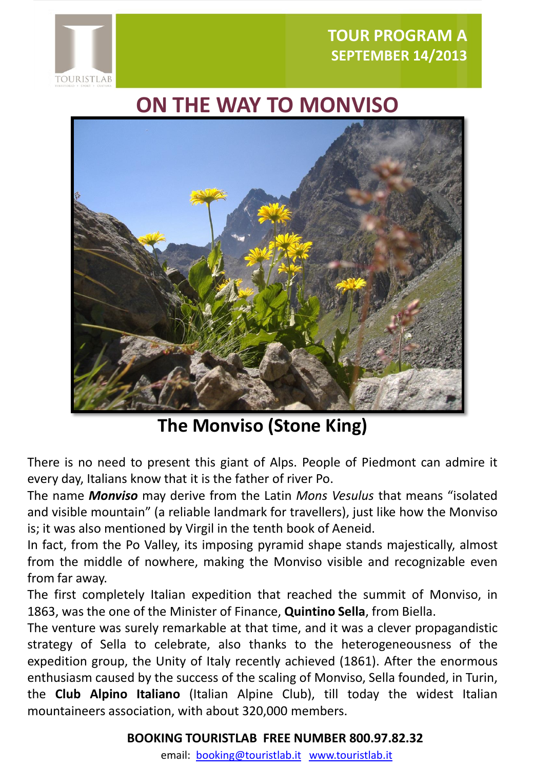

# **ON THE WAY TO MONVISO**



## **The Monviso (Stone King)**

There is no need to present this giant of Alps. People of Piedmont can admire it every day, Italians know that it is the father of river Po.

The name *Monviso* may derive from the Latin *Mons Vesulus* that means "isolated and visible mountain" (a reliable landmark for travellers), just like how the Monviso is; it was also mentioned by Virgil in the tenth book of Aeneid.

In fact, from the Po Valley, its imposing pyramid shape stands majestically, almost from the middle of nowhere, making the Monviso visible and recognizable even from far away.

The first completely Italian expedition that reached the summit of Monviso, in 1863, was the one of the Minister of Finance, **Quintino Sella**, from Biella.

The venture was surely remarkable at that time, and it was a clever propagandistic strategy of Sella to celebrate, also thanks to the heterogeneousness of the expedition group, the Unity of Italy recently achieved (1861). After the enormous enthusiasm caused by the success of the scaling of Monviso, Sella founded, in Turin, the **Club Alpino Italiano** (Italian Alpine Club), till today the widest Italian mountaineers association, with about 320,000 members.

#### **BOOKING TOURISTLAB FREE NUMBER 800.97.82.32**

email: [booking@touristlab.it](mailto:booking@touristlab.it) [www.touristlab.it](http://www.touristlab.it/)